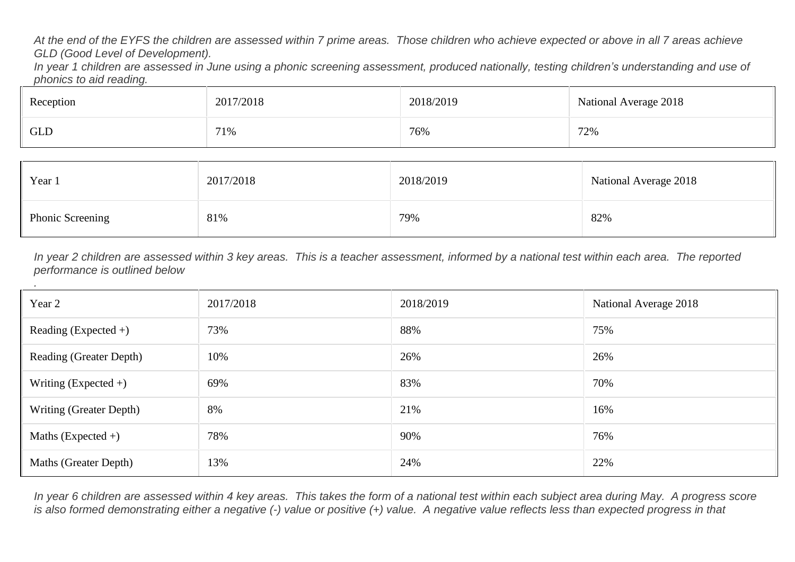At the end of the EYFS the children are assessed within 7 prime areas. Those children who achieve expected or above in all 7 areas achieve *GLD (Good Level of Development).*

In year 1 children are assessed in June using a phonic screening assessment, produced nationally, testing children's understanding and use of *phonics to aid reading.*

| Reception  | 2017/2018 | 2018/2019 | National Average 2018 |  |
|------------|-----------|-----------|-----------------------|--|
| <b>GLD</b> | 71%       | 76%       | 72%                   |  |

| Year 1           | 2017/2018 | 2018/2019 | National Average 2018 |
|------------------|-----------|-----------|-----------------------|
| Phonic Screening | 81%       | 79%       | 82%                   |

In year 2 children are assessed within 3 key areas. This is a teacher assessment, informed by a national test within each area. The reported *performance is outlined below*

*.*

| Year 2                  | 2017/2018 | 2018/2019 | National Average 2018 |
|-------------------------|-----------|-----------|-----------------------|
| Reading (Expected $+)$  | 73%       | 88%       | 75%                   |
| Reading (Greater Depth) | 10%       | 26%       | 26%                   |
| Writing (Expected $+)$  | 69%       | 83%       | 70%                   |
| Writing (Greater Depth) | 8%        | 21%       | 16%                   |
| Maths (Expected $+)$    | 78%       | 90%       | 76%                   |
| Maths (Greater Depth)   | 13%       | 24%       | 22%                   |

In year 6 children are assessed within 4 key areas. This takes the form of a national test within each subject area during May. A progress score is also formed demonstrating either a negative (-) value or positive (+) value. A negative value reflects less than expected progress in that